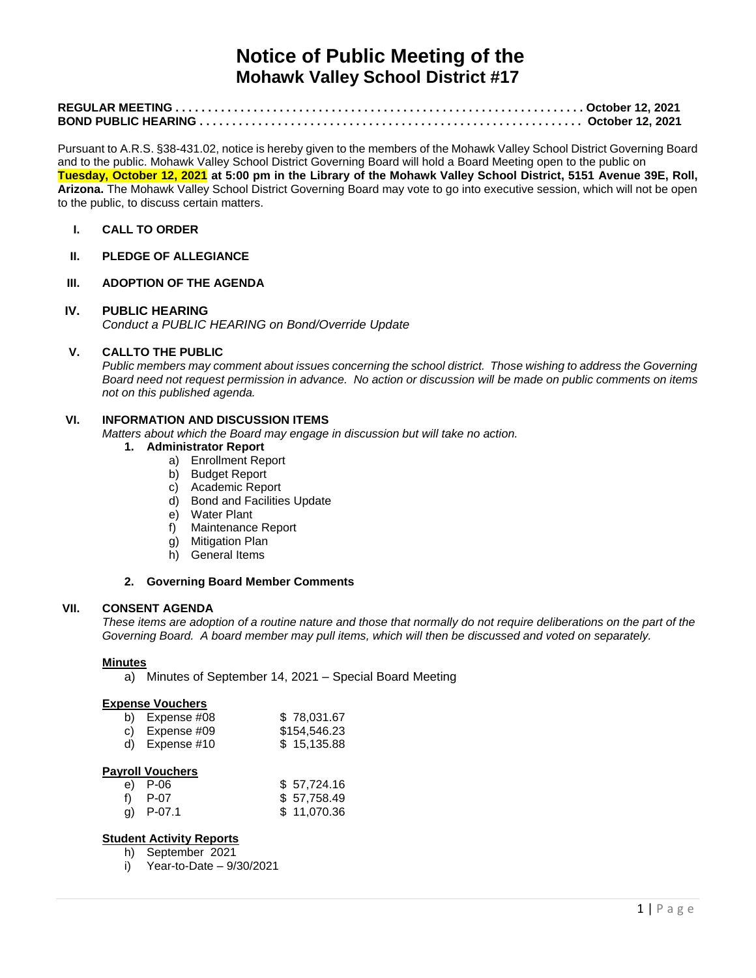# **Notice of Public Meeting of the Mohawk Valley School District #17**

Pursuant to A.R.S. §38-431.02, notice is hereby given to the members of the Mohawk Valley School District Governing Board and to the public. Mohawk Valley School District Governing Board will hold a Board Meeting open to the public on **Tuesday, October 12, 2021 at 5:00 pm in the Library of the Mohawk Valley School District, 5151 Avenue 39E, Roll, Arizona.** The Mohawk Valley School District Governing Board may vote to go into executive session, which will not be open to the public, to discuss certain matters.

# **I. CALL TO ORDER**

**II. PLEDGE OF ALLEGIANCE**

#### **III. ADOPTION OF THE AGENDA**

# **IV. PUBLIC HEARING**

*Conduct a PUBLIC HEARING on Bond/Override Update*

# **V. CALLTO THE PUBLIC**

*Public members may comment about issues concerning the school district. Those wishing to address the Governing Board need not request permission in advance. No action or discussion will be made on public comments on items not on this published agenda.*

### **VI. INFORMATION AND DISCUSSION ITEMS**

*Matters about which the Board may engage in discussion but will take no action.* 

# **1. Administrator Report**

- a) Enrollment Report
- b) Budget Report
- c) Academic Report
- d) Bond and Facilities Update
- 
- e) Water Plant<br>f) Maintenance Maintenance Report
- g) Mitigation Plan
- h) General Items

# **2. Governing Board Member Comments**

#### **VII. CONSENT AGENDA**

*These items are adoption of a routine nature and those that normally do not require deliberations on the part of the Governing Board. A board member may pull items, which will then be discussed and voted on separately.*

#### **Minutes**

a) Minutes of September 14, 2021 – Special Board Meeting

#### **Expense Vouchers**

| b) Expense $\#08$ | \$78,031.67  |
|-------------------|--------------|
| c) Expense $\#09$ | \$154,546.23 |
| d) Expense $#10$  | \$15,135.88  |

#### **Payroll Vouchers**

| e) P-06     | \$57,724.16 |
|-------------|-------------|
| f) P-07     | \$57,758.49 |
| g) $P-07.1$ | \$11,070.36 |

#### **Student Activity Reports**

- h) September 2021
- i) Year-to-Date 9/30/2021